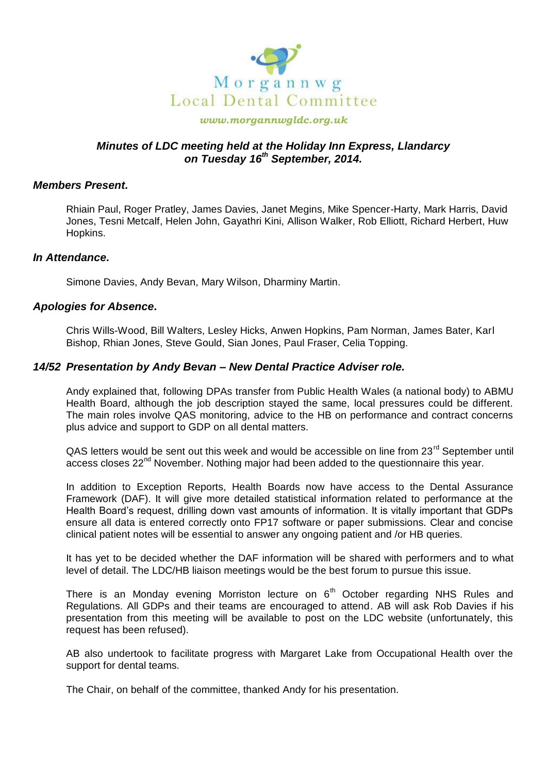

#### *www.morgannwgldc.org.uk*

# *Minutes of LDC meeting held at the Holiday Inn Express, Llandarcy on Tuesday 16th September, 2014.*

#### *Members Present.*

Rhiain Paul, Roger Pratley, James Davies, Janet Megins, Mike Spencer-Harty, Mark Harris, David Jones, Tesni Metcalf, Helen John, Gayathri Kini, Allison Walker, Rob Elliott, Richard Herbert, Huw Hopkins.

#### *In Attendance.*

Simone Davies, Andy Bevan, Mary Wilson, Dharminy Martin.

### *Apologies for Absence.*

Chris Wills-Wood, Bill Walters, Lesley Hicks, Anwen Hopkins, Pam Norman, James Bater, Karl Bishop, Rhian Jones, Steve Gould, Sian Jones, Paul Fraser, Celia Topping.

### *14/52 Presentation by Andy Bevan – New Dental Practice Adviser role.*

Andy explained that, following DPAs transfer from Public Health Wales (a national body) to ABMU Health Board, although the job description stayed the same, local pressures could be different. The main roles involve QAS monitoring, advice to the HB on performance and contract concerns plus advice and support to GDP on all dental matters.

 $QAS$  letters would be sent out this week and would be accessible on line from 23 $^{\text{rd}}$  September until access closes  $22<sup>nd</sup>$  November. Nothing major had been added to the questionnaire this year.

In addition to Exception Reports, Health Boards now have access to the Dental Assurance Framework (DAF). It will give more detailed statistical information related to performance at the Health Board's request, drilling down vast amounts of information. It is vitally important that GDPs ensure all data is entered correctly onto FP17 software or paper submissions. Clear and concise clinical patient notes will be essential to answer any ongoing patient and /or HB queries.

It has yet to be decided whether the DAF information will be shared with performers and to what level of detail. The LDC/HB liaison meetings would be the best forum to pursue this issue.

There is an Monday evening Morriston lecture on  $6<sup>th</sup>$  October regarding NHS Rules and Regulations. All GDPs and their teams are encouraged to attend. AB will ask Rob Davies if his presentation from this meeting will be available to post on the LDC website (unfortunately, this request has been refused).

AB also undertook to facilitate progress with Margaret Lake from Occupational Health over the support for dental teams.

The Chair, on behalf of the committee, thanked Andy for his presentation.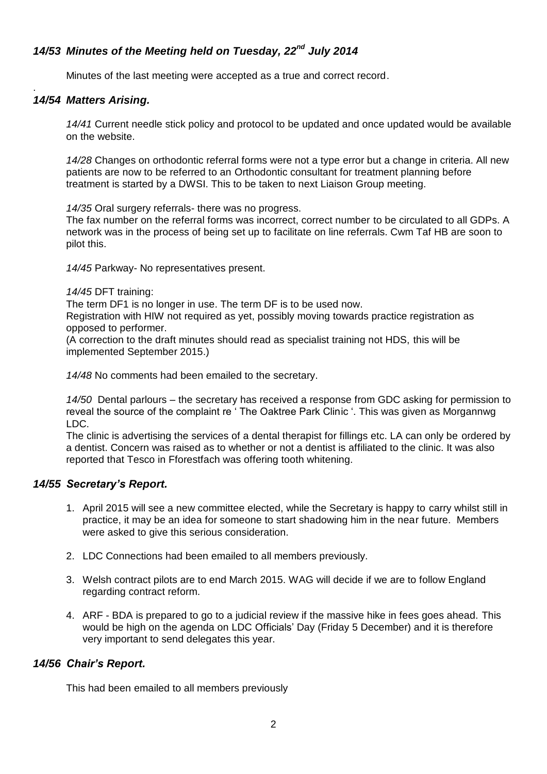# *14/53 Minutes of the Meeting held on Tuesday, 22nd July 2014*

Minutes of the last meeting were accepted as a true and correct record.

#### . *14/54 Matters Arising.*

*14/41* Current needle stick policy and protocol to be updated and once updated would be available on the website.

*14/28* Changes on orthodontic referral forms were not a type error but a change in criteria. All new patients are now to be referred to an Orthodontic consultant for treatment planning before treatment is started by a DWSI. This to be taken to next Liaison Group meeting.

*14/35* Oral surgery referrals- there was no progress.

The fax number on the referral forms was incorrect, correct number to be circulated to all GDPs. A network was in the process of being set up to facilitate on line referrals. Cwm Taf HB are soon to pilot this.

*14/45* Parkway- No representatives present.

*14/45* DFT training:

The term DF1 is no longer in use. The term DF is to be used now.

Registration with HIW not required as yet, possibly moving towards practice registration as opposed to performer.

(A correction to the draft minutes should read as specialist training not HDS, this will be implemented September 2015.)

*14/48* No comments had been emailed to the secretary.

*14/50* Dental parlours – the secretary has received a response from GDC asking for permission to reveal the source of the complaint re ' The Oaktree Park Clinic '. This was given as Morgannwg LDC.

The clinic is advertising the services of a dental therapist for fillings etc. LA can only be ordered by a dentist. Concern was raised as to whether or not a dentist is affiliated to the clinic. It was also reported that Tesco in Fforestfach was offering tooth whitening.

# *14/55 Secretary's Report.*

- 1. April 2015 will see a new committee elected, while the Secretary is happy to carry whilst still in practice, it may be an idea for someone to start shadowing him in the near future. Members were asked to give this serious consideration.
- 2. LDC Connections had been emailed to all members previously.
- 3. Welsh contract pilots are to end March 2015. WAG will decide if we are to follow England regarding contract reform.
- 4. ARF BDA is prepared to go to a judicial review if the massive hike in fees goes ahead. This would be high on the agenda on LDC Officials' Day (Friday 5 December) and it is therefore very important to send delegates this year.

# *14/56 Chair's Report.*

This had been emailed to all members previously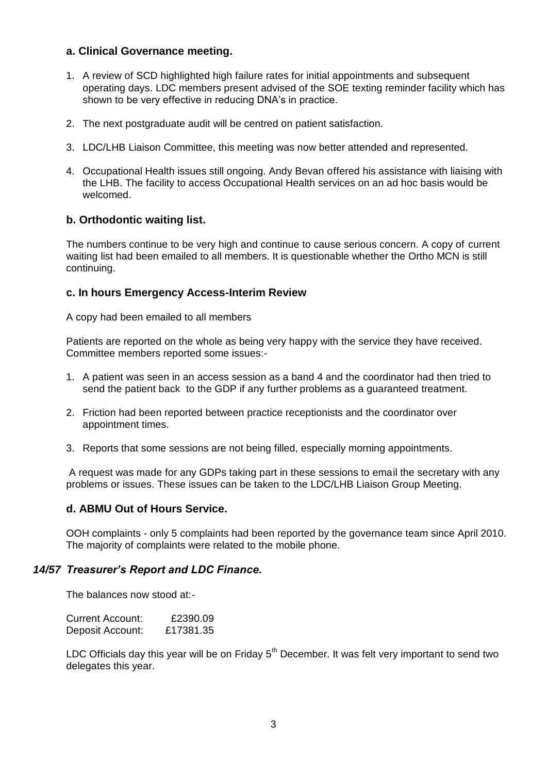# **a. Clinical Governance meeting.**

- 1. A review of SCD highlighted high failure rates for initial appointments and subsequent operating days. LDC members present advised of the SOE texting reminder facility which has shown to be very effective in reducing DNA's in practice.
- 2. The next postgraduate audit will be centred on patient satisfaction.
- 3. LDC/LHB Liaison Committee, this meeting was now better attended and represented.
- 4. Occupational Health issues still ongoing. Andy Bevan offered his assistance with liaising with the LHB. The facility to access Occupational Health services on an ad hoc basis would be welcomed.

# **b. Orthodontic waiting list.**

The numbers continue to be very high and continue to cause serious concern. A copy of current waiting list had been emailed to all members. It is questionable whether the Ortho MCN is still continuing.

## **c. In hours Emergency Access-Interim Review**

A copy had been emailed to all members

Patients are reported on the whole as being very happy with the service they have received. Committee members reported some issues:-

- 1. A patient was seen in an access session as a band 4 and the coordinator had then tried to send the patient back to the GDP if any further problems as a guaranteed treatment.
- 2. Friction had been reported between practice receptionists and the coordinator over appointment times.
- 3. Reports that some sessions are not being filled, especially morning appointments.

A request was made for any GDPs taking part in these sessions to email the secretary with any problems or issues. These issues can be taken to the LDC/LHB Liaison Group Meeting.

### **d. ABMU Out of Hours Service.**

OOH complaints - only 5 complaints had been reported by the governance team since April 2010. The majority of complaints were related to the mobile phone.

### *14/57 Treasurer's Report and LDC Finance.*

The balances now stood at:-

| Current Account: | £2390.09  |
|------------------|-----------|
| Deposit Account: | £17381.35 |

LDC Officials day this year will be on Friday  $5<sup>th</sup>$  December. It was felt very important to send two delegates this year.